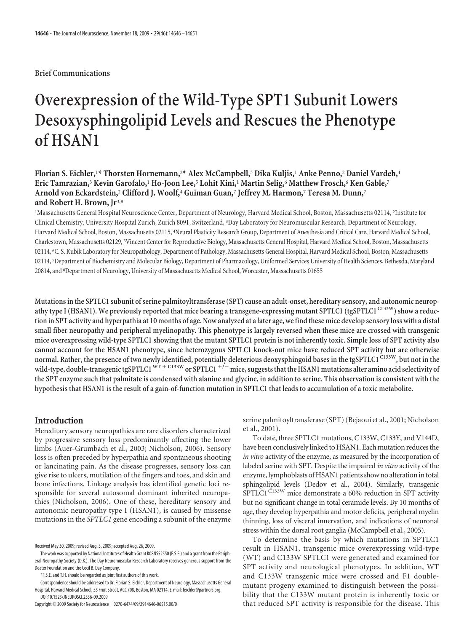## **Brief Communications**

# **Overexpression of the Wild-Type SPT1 Subunit Lowers Desoxysphingolipid Levels and Rescues the Phenotype of HSAN1**

# **Florian S. Eichler,**<sup>1</sup> **\* Thorsten Hornemann,**<sup>2</sup> **\* Alex McCampbell,**<sup>3</sup> **Dika Kuljis,**<sup>1</sup> **Anke Penno,**<sup>2</sup> **Daniel Vardeh,**<sup>4</sup> **Eric Tamrazian,**<sup>3</sup> **Kevin Garofalo,**<sup>1</sup> **Ho-Joon Lee,**<sup>5</sup> **Lohit Kini,**<sup>1</sup> **Martin Selig,**<sup>6</sup> **Matthew Frosch,**<sup>6</sup> **Ken Gable,**<sup>7</sup> **Arnold von Eckardstein,**<sup>2</sup> **Clifford J. Woolf,**<sup>4</sup> **Guiman Guan,**<sup>7</sup> **Jeffrey M. Harmon,**<sup>7</sup> **Teresa M. Dunn,**<sup>7</sup> **and Robert H. Brown, Jr**3,8

<sup>1</sup>Massachusetts General Hospital Neuroscience Center, Department of Neurology, Harvard Medical School, Boston, Massachusetts 02114, <sup>2</sup>Institute for Clinical Chemistry, University Hospital Zurich, Zurich 8091, Switzerland, <sup>3</sup>Day Laboratory for Neuromuscular Research, Department of Neurology, Harvard Medical School, Boston, Massachusetts 02115, <sup>4</sup> Neural Plasticity Research Group, Department of Anesthesia and Critical Care, Harvard Medical School, Charlestown, Massachusetts 02129, <sup>5</sup> Vincent Center for Reproductive Biology, Massachusetts General Hospital, Harvard Medical School, Boston, Massachusetts 02114, <sup>6</sup> C. S. Kubik Laboratory for Neuropathology, Department of Pathology, Massachusetts General Hospital, Harvard Medical School, Boston, Massachusetts 02114, <sup>7</sup>Department of Biochemistry and Molecular Biology, Department of Pharmacology, Uniformed Services University of Health Sciences, Bethesda, Maryland 20814, and <sup>8</sup>Department of Neurology, University of Massachusetts Medical School, Worcester, Massachusetts 01655

**Mutations in the SPTLC1 subunit of serine palmitoyltransferase (SPT) cause an adult-onset, hereditary sensory, and autonomic neuropathy type I (HSAN1). We previously reported that mice bearing a transgene-expressing mutant SPTLC1 (tgSPTLC1 C133W) show a reduction in SPT activity and hyperpathia at 10 months of age. Now analyzed at a later age, we find these mice develop sensory loss with a distal small fiber neuropathy and peripheral myelinopathy. This phenotype is largely reversed when these mice are crossed with transgenic mice overexpressing wild-type SPTLC1 showing that the mutant SPTLC1 protein is not inherently toxic. Simple loss of SPT activity also cannot account for the HSAN1 phenotype, since heterozygous SPTLC1 knock-out mice have reduced SPT activity but are otherwise normal. Rather, the presence of two newly identified, potentially deleterious deoxysphingoid bases in the tgSPTLC1 C133W, but not in the wild-type, double-transgenictgSPTLC1 WT C133W or SPTLC1 /**- **mice, suggeststhattheHSAN1 mutations alter amino acid selectivity of the SPT enzyme such that palmitate is condensed with alanine and glycine, in addition to serine. This observation is consistent with the hypothesis that HSAN1 is the result of a gain-of-function mutation in SPTLC1 that leads to accumulation of a toxic metabolite.**

# **Introduction**

Hereditary sensory neuropathies are rare disorders characterized by progressive sensory loss predominantly affecting the lower limbs (Auer-Grumbach et al., 2003; Nicholson, 2006). Sensory loss is often preceded by hyperpathia and spontaneous shooting or lancinating pain. As the disease progresses, sensory loss can give rise to ulcers, mutilation of the fingers and toes, and skin and bone infections. Linkage analysis has identified genetic loci responsible for several autosomal dominant inherited neuropathies (Nicholson, 2006). One of these, hereditary sensory and autonomic neuropathy type I (HSAN1), is caused by missense mutations in the *SPTLC1* gene encoding a subunit of the enzyme

serine palmitoyltransferase (SPT) (Bejaoui et al., 2001; Nicholson et al., 2001).

To date, three SPTLC1 mutations, C133W, C133Y, and V144D, have been conclusively linked to HSAN1. Each mutation reduces the *in vitro* activity of the enzyme, as measured by the incorporation of labeled serine with SPT. Despite the impaired *in vitro* activity of the enzyme, lymphoblasts of HSAN1 patients show no alteration in total sphingolipid levels (Dedov et al., 2004). Similarly, transgenic  $SPTLCl^{C133W}$  mice demonstrate a 60% reduction in SPT activity but no significant change in total ceramide levels. By 10 months of age, they develop hyperpathia and motor deficits, peripheral myelin thinning, loss of visceral innervation, and indications of neuronal stress within the dorsal root ganglia (McCampbell et al., 2005).

To determine the basis by which mutations in SPTLC1 result in HSAN1, transgenic mice overexpressing wild-type (WT) and C133W SPTLC1 were generated and examined for SPT activity and neurological phenotypes. In addition, WT and C133W transgenic mice were crossed and F1 doublemutant progeny examined to distinguish between the possibility that the C133W mutant protein is inherently toxic or that reduced SPT activity is responsible for the disease. This

Received May 30, 2009; revised Aug. 3, 2009; accepted Aug. 26, 2009.

The work was supported by National Institutes of Health Grant K08NS52550 (F.S.E.) and a grant from the Peripheral Neuropathy Society (D.K.). The Day Neuromuscular Research Laboratory receives generous support from the Deater Foundation and the Cecil B. Day Company.

<sup>\*</sup>F.S.E. and T.H. should be regarded as joint first authors of this work.

Correspondence should be addressed to Dr. Florian S. Eichler, Department of Neurology, Massachusetts General Hospital, Harvard Medical School, 55 Fruit Street, ACC 708, Boston, MA 02114. E-mail: feichler@partners.org. DOI:10.1523/JNEUROSCI.2536-09.2009

Copyright © 2009 Society for Neuroscience 0270-6474/09/2914646-06\$15.00/0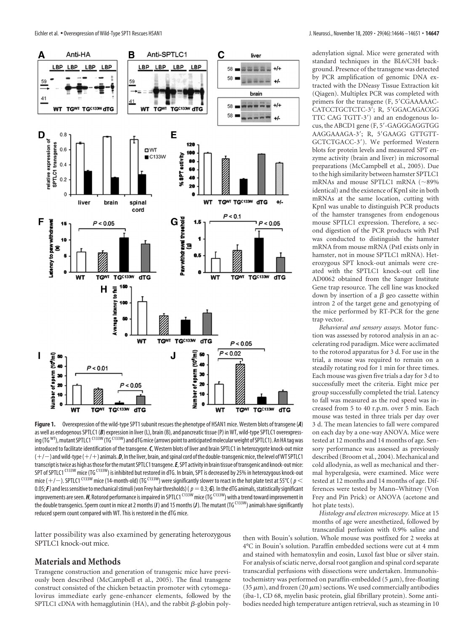

**Figure 1.** Overexpression of the wild-type SPT1subunit rescues the phenotype of HSAN1 mice. Western blots of transgene (*A*) as well as endogenous SPTLC1 (B) expression in liver (L), brain (B), and pancreatic tissue (P) in WT, wild-type SPTLC1 overexpressing (TG <sup>WT</sup>), mutant SPTLC1 <sup>C133W</sup> (TG <sup>C133W</sup>) and dTG mice (arrows point to anticipated molecular weight of SPTLC1). An HA tag was introduced to facilitate identification of the transgene.*C*, Western blots of liver and brain SPTLC1 in heterozygote knock-out mice  $(+/-)$  and wild-type ( $+/+)$  animals.  $\bm{\mathit{D}}$ , In the liver, brain, and spinal cord of the double-transgenic mice, the level of WT SPTLC1 transcript is twice as high as those for the mutant SPTLC1 transgene. E, SPT activity in brain tissue of transgenic and knock-out mice: SPT of SPTLC1<sup>C133W</sup> mice (TG<sup>C133W</sup>) is inhibited but restored in dTG. In brain, SPT is decreased by 25% in heterozygous knock-out mice (+/ $-$ ). SPTLC1 <sup>C133W</sup> mice (14-month-old) (TG <sup>C133W</sup>) were significantly slower to react in the hot plate test at 55°C (  $p$   $<$ 0.05;  $\bf{F}$ ) and less sensitive to mechanical stimuli (von Frey hair thresholds) ( $p=0.3$ ;  $\bf{G}$ ). In the dTG animals, statistically significant improvements are seen. *H*, Rotorod performance is impaired in SPTLC1<sup>C133W</sup> mice (TG<sup>C133W</sup>) with a trend toward improvement in the double transgenics. Sperm count in mice at 2 months (*I*) and 15 months (*J*). The mutant (TG<sup>C133W</sup>) animals have significantly reduced sperm count compared with WT. This is restored in the dTG mice.

latter possibility was also examined by generating heterozygous SPTLC1 knock-out mice.

#### **Materials and Methods**

Transgene construction and generation of transgenic mice have previously been described (McCampbell et al., 2005). The final transgene construct consisted of the chicken betaactin promoter with cytomegalovirus immediate early gene-enhancer elements, followed by the SPTLC1 cDNA with hemagglutinin (HA), and the rabbit  $\beta$ -globin polyadenylation signal. Mice were generated with standard techniques in the BL6/C3H background. Presence of the transgene was detected by PCR amplification of genomic DNA extracted with the DNeasy Tissue Extraction kit (Qiagen). Multiplex PCR was completed with primers for the transgene (F, 5'CGAAAAAC-CATCCTGCTCTC-3'; R, 5'GGACAGACGG TTC CAG TGTT-3) and an endogenous locus, the ABCD1 gene (F, 5'-GAGGGAGGTGG AAGGAAAGA-3'; R, 5'GAAGG GTTGTT-GCTCTGACC-3). We performed Western blots for protein levels and measured SPT enzyme activity (brain and liver) in microsomal preparations (McCampbell et al., 2005). Due to the high similarity between hamster SPTLC1 mRNAs and mouse SPTLC1 mRNA  $(\sim89\%$ identical) and the existence of KpnI site in both mRNAs at the same location, cutting with KpnI was unable to distinguish PCR products of the hamster transgenes from endogenous mouse SPTLC1 expression. Therefore, a second digestion of the PCR products with PstI was conducted to distinguish the hamster mRNA from mouse mRNA (PstI exists only in hamster, not in mouse SPTLC1 mRNA). Heterozygous SPT knock-out animals were created with the SPTLC1 knock-out cell line AD0062 obtained from the Sanger Institute Gene trap resource. The cell line was knocked down by insertion of a  $\beta$  geo cassette within intron 2 of the target gene and genotyping of the mice performed by RT-PCR for the gene trap vector.

*Behavioral and sensory assays.* Motor function was assessed by rotorod analysis in an accelerating rod paradigm. Mice were acclimated to the rotorod apparatus for 3 d. For use in the trial, a mouse was required to remain on a steadily rotating rod for 1 min for three times. Each mouse was given five trials a day for 3 d to successfully meet the criteria. Eight mice per group successfully completed the trial. Latency to fall was measured as the rod speed was increased from 5 to 40 r.p.m. over 5 min. Each mouse was tested in three trials per day over 3 d. The mean latencies to fall were compared on each day by a one-way ANOVA. Mice were tested at 12 months and 14 months of age. Sensory performance was assessed as previously described (Broom et al., 2004). Mechanical and cold allodynia, as well as mechanical and thermal hyperalgesia, were examined. Mice were tested at 12 months and 14 months of age. Differences were tested by Mann–Whitney (Von Frey and Pin Prick) or ANOVA (acetone and hot plate tests).

*Histology and electron microscopy.* Mice at 15 months of age were anesthetized, followed by transcardial perfusion with 0.9% saline and

then with Bouin's solution. Whole mouse was postfixed for 2 weeks at 4°C in Bouin's solution. Paraffin embedded sections were cut at 4 mm and stained with hematoxylin and eosin, Luxol fast blue or silver stain. For analysis of sciatic nerve, dorsal root ganglion and spinal cord separate transcardial perfusions with dissections were undertaken. Immunohistochemistry was performed on paraffin-embedded (5  $\mu$ m), free-floating (35  $\mu$ m), and frozen (20  $\mu$ m) sections. We used commercially antibodies (iba-1, CD 68, myelin basic protein, glial fibrillary protein). Some antibodies needed high temperature antigen retrieval, such as steaming in 10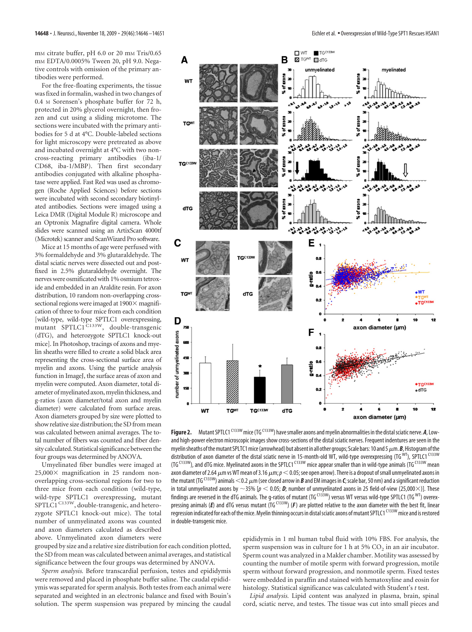mm citrate buffer, pH 6.0 or 20 mm Tris/0.65 mM EDTA/0.0005% Tween 20, pH 9.0. Negative controls with omission of the primary antibodies were performed.

For the free-floating experiments, the tissue was fixed in formalin, washed in two changes of 0.4 M Sorensen's phosphate buffer for 72 h, protected in 20% glycerol overnight, then frozen and cut using a sliding microtome. The sections were incubated with the primary antibodies for 5 d at 4°C. Double-labeled sections for light microscopy were pretreated as above and incubated overnight at 4°C with two noncross-reacting primary antibodies (iba-1/ CD68, iba-1/MBP). Then first secondary antibodies conjugated with alkaline phosphatase were applied. Fast Red was used as chromogen (Roche Applied Sciences) before sections were incubated with second secondary biotinylated antibodies. Sections were imaged using a Leica DMR (Digital Module R) microscope and an Optronix Magnafire digital camera. Whole slides were scanned using an ArtixScan 4000tf (Microtek) scanner and ScanWizard Pro software.

Mice at 15 months of age were perfused with 3% formaldehyde and 3% glutaraldehyde. The distal sciatic nerves were dissected out and postfixed in 2.5% glutaraldehyde overnight. The nerves were osmificated with 1% osmium tetroxide and embedded in an Araldite resin. For axon distribution, 10 random non-overlapping crosssectional regions were imaged at  $1900 \times$  magnification of three to four mice from each condition [wild-type, wild-type SPTLC1 overexpressing, mutant SPTLC1<sup>C133W</sup>, double-transgenic (dTG), and heterozygote SPTLC1 knock-out mice]. In Photoshop, tracings of axons and myelin sheaths were filled to create a solid black area representing the cross-sectional surface area of myelin and axons. Using the particle analysis function in ImageJ, the surface areas of axon and myelin were computed. Axon diameter, total diameter of myelinated axon, myelin thickness, and g-ratios (axon diameter/total axon and myelin diameter) were calculated from surface areas. Axon diameters grouped by size were plotted to show relative size distribution; the SD from mean was calculated between animal averages. The total number of fibers was counted and fiber density calculated. Statistical significance between the four groups was determined by ANOVA.

Umyelinated fiber bundles were imaged at  $25,000\times$  magnification in 25 random nonoverlapping cross-sectional regions for two to three mice from each condition (wild-type, wild-type SPTLC1 overexpressing, mutant SPTLC1<sup>C133W</sup>, double-transgenic, and heterozygote SPTLC1 knock-out mice). The total number of unmyelinated axons was counted and axon diameters calculated as described above. Unmyelinated axon diameters were

grouped by size and a relative size distribution for each condition plotted, the SD from mean was calculated between animal averages, and statistical significance between the four groups was determined by ANOVA.

*Sperm analysis.* Before transcardial perfusion, testes and epididymis were removed and placed in phosphate buffer saline. The caudal epididymis was separated for sperm analysis. Both testes from each animal were separated and weighted in an electronic balance and fixed with Bouin's solution. The sperm suspension was prepared by mincing the caudal



Figure 2. Mutant SPTLC1<sup>C133W</sup> mice (TG<sup>C133W</sup>) have smaller axons and myelin abnormalities in the distal sciatic nerve. *A*, Lowand high-power electron microscopic images show cross-sections of the distal sciatic nerves. Frequent indentures are seen in the myelin sheaths of the mutant SPLTC1 mice (arrowhead) but absent in all other groups; Scale bars: 10 and 5  $\mu$ m. *B*, Histogram of the distribution of axon diameter of the distal sciatic nerve in 15-month-old WT, wild-type overexpressing (TG WT), SPTLC1 C133W (TG<sup>C133W</sup>), and dTG mice. Myelinated axons in the SPTLC1<sup>C133W</sup> mice appear smaller than in wild-type animals (TGC<sup>133W</sup> mean axon diameter of 2.64  $\mu$ m vs WT mean of 3.16  $\mu$ m;  $\rm{\rho}$   $<$  0.05; see open arrow). There is a dropout of small unmyelinated axons in the mutant (TG <sup>C133W</sup>) animals  $<$  0.2  $\mu$ m (see closed arrow in  $\bm B$  and EM images in  $\bm C$ ; scale bar, 50 nm) and a significant reduction in total unmyelinated axons by  $\sim$ 35% [ $p < 0.05$ ; **D**; number of unmyelinated axons in 25 field-of-view (25,000 $\times$ )]. These findings are reversed in the dTG animals. The g-ratios of mutant (TGC133W) versus WT versus wild-type SPTLC1 (TGWT) overexpressing animals (*E*) and dTG versus mutant (TG C133W) (*F*) are plotted relative to the axon diameter with the best fit, linear regression indicated for each of the mice. Myelin thinning occurs in distal sciatic axons of mutant SPTLC1 C133W mice and is restored in double-transgenic mice.

epididymis in 1 ml human tubal fluid with 10% FBS. For analysis, the sperm suspension was in culture for 1 h at 5%  $CO<sub>2</sub>$  in an air incubator. Sperm count was analyzed in a Makler chamber. Motility was assessed by counting the number of motile sperm with forward progression, motile sperm without forward progression, and nonmotile sperm. Fixed testes were embedded in paraffin and stained with hematoxyline and eosin for histology. Statistical significance was calculated with Student's *t* test.

*Lipid analysis.* Lipid content was analyzed in plasma, brain, spinal cord, sciatic nerve, and testes. The tissue was cut into small pieces and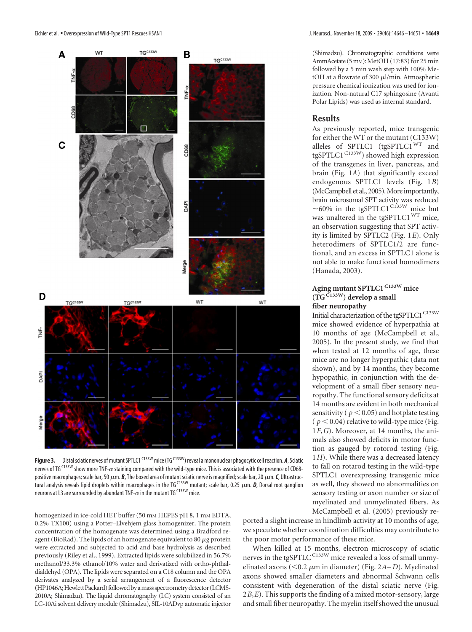

Figure 3. Distal sciatic nerves of mutant SPTLC1<sup>C133W</sup> mice (TG<sup>C133W</sup>) reveal a mononuclear phagocytic cell reaction. *A*, Sciatic nerves of TG<sup>C133W</sup> show more TNF- $\alpha$  staining compared with the wild-type mice. This is associated with the presence of CD68positive macrophages; scale bar, 50  $\mu$ m. *B*, The boxed area of mutant sciatic nerve is magnified; scale bar, 20  $\mu$ m. **C**, Ultrastruc-.<br>tural analysis reveals lipid droplets within macrophages in the TG<sup>C133W</sup> mutant; scale bar, 0.25 μm. **D**, Dorsal root ganglion neurons at L3 are surrounded by abundant TNF- $\alpha$  in the mutant TG C133W mice.

homogenized in ice-cold HET buffer (50 mm HEPES pH 8, 1 mm EDTA, 0.2% TX100) using a Potter–Elvehjem glass homogenizer. The protein concentration of the homogenate was determined using a Bradford reagent (BioRad). The lipids of an homogenate equivalent to 80  $\mu$ g protein were extracted and subjected to acid and base hydrolysis as described previously (Riley et al., 1999). Extracted lipids were solubilized in 56.7% methanol/33.3% ethanol/10% water and derivatized with ortho-phthaldialdehyd (OPA). The lipids were separated on a C18 column and the OPA derivates analyzed by a serial arrangement of a fluorescence detector (HP1046A; Hewlett Packard) followed by a mass spectrometry detector (LCMS-2010A; Shimadzu). The liquid chromatography (LC) system consisted of an LC-10Ai solvent delivery module (Shimadzu), SIL-10ADvp automatic injector

ported a slight increase in hindlimb activity at 10 months of age, we speculate whether coordination difficulties may contribute to the poor motor performance of these mice.

When killed at 15 months, electron microscopy of sciatic nerves in the tgSPTLC<sup>C133W</sup> mice revealed a loss of small unmyelinated axons (<0.2  $\mu$ m in diameter) (Fig. 2*A–D*). Myelinated axons showed smaller diameters and abnormal Schwann cells consistent with degeneration of the distal sciatic nerve (Fig. 2*B*,*E*). This supports the finding of a mixed motor-sensory, large and small fiber neuropathy. The myelin itself showed the unusual

(Shimadzu). Chromatographic conditions were AmmAcetate (5 mm): MetOH (17:83) for 25 min followed by a 5 min wash step with 100% MetOH at a flowrate of 300 µl/min. Atmospheric pressure chemical ionization was used for ionization. Non-natural C17 sphingosine (Avanti Polar Lipids) was used as internal standard.

#### **Results**

As previously reported, mice transgenic for either the WT or the mutant (C133W) alleles of SPTLC1 (tgSPTLC1<sup>WT</sup> and tgSPTLC1<sup>C133W</sup>) showed high expression of the transgenes in liver, pancreas, and brain (Fig. 1*A*) that significantly exceed endogenous SPTLC1 levels (Fig. 1*B*) (McCampbell et al., 2005). More importantly, brain microsomal SPT activity was reduced  $\sim$ 60% in the tgSPTLC1<sup>C133W</sup> mice but was unaltered in the tgSPTLC1<sup>WT</sup> mice, an observation suggesting that SPT activity is limited by SPTLC2 (Fig. 1*E*). Only heterodimers of SPTLC1/2 are functional, and an excess in SPTLC1 alone is not able to make functional homodimers (Hanada, 2003).

# **Aging mutant SPTLC1C133W mice (TGC133W) develop a small fiber neuropathy**

Initial characterization of the tgSPTLC1  $^{\rm C133W}$ mice showed evidence of hyperpathia at 10 months of age (McCampbell et al., 2005). In the present study, we find that when tested at 12 months of age, these mice are no longer hyperpathic (data not shown), and by 14 months, they become hypopathic, in conjunction with the development of a small fiber sensory neuropathy. The functional sensory deficits at 14 months are evident in both mechanical sensitivity ( $p < 0.05$ ) and hotplate testing  $(p < 0.04)$  relative to wild-type mice (Fig. 1*F*,*G*). Moreover, at 14 months, the animals also showed deficits in motor function as gauged by rotorod testing (Fig. 1*H*). While there was a decreased latency to fall on rotarod testing in the wild-type SPTLC1 overexpressing transgenic mice as well, they showed no abnormalities on sensory testing or axon number or size of myelinated and unmyelinated fibers. As McCampbell et al. (2005) previously re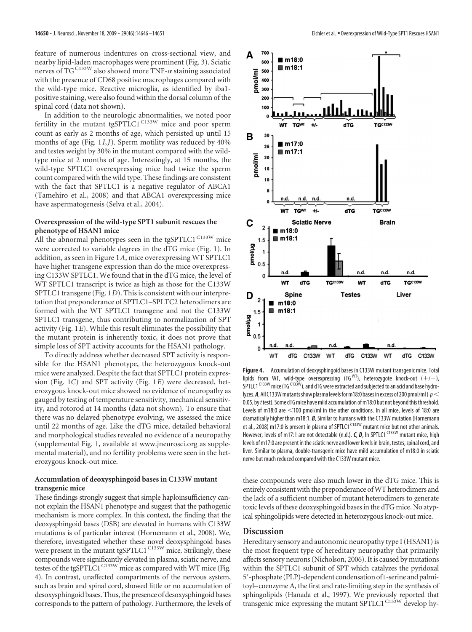feature of numerous indentures on cross-sectional view, and nearby lipid-laden macrophages were prominent (Fig. 3). Sciatic nerves of TGC133W also showed more TNF- $\alpha$  staining associated with the presence of CD68 positive macrophages compared with the wild-type mice. Reactive microglia, as identified by iba1 positive staining, were also found within the dorsal column of the spinal cord (data not shown).

In addition to the neurologic abnormalities, we noted poor fertility in the mutant tgSPTLC1<sup>C133W</sup> mice and poor sperm count as early as 2 months of age, which persisted up until 15 months of age (Fig. 1*I*,*J*). Sperm motility was reduced by 40% and testes weight by 30% in the mutant compared with the wildtype mice at 2 months of age. Interestingly, at 15 months, the wild-type SPTLC1 overexpressing mice had twice the sperm count compared with the wild type. These findings are consistent with the fact that SPTLC1 is a negative regulator of ABCA1 (Tamehiro et al., 2008) and that ABCA1 overexpressing mice have aspermatogenesis (Selva et al., 2004).

## **Overexpression of the wild-type SPT1 subunit rescues the phenotype of HSAN1 mice**

All the abnormal phenotypes seen in the tgSPTLC1<sup>C133W</sup> mice were corrected to variable degrees in the dTG mice (Fig. 1). In addition, as seen in Figure 1*A*, mice overexpressing WT SPTLC1 have higher transgene expression than do the mice overexpressing C133W SPTLC1. We found that in the dTG mice, the level of WT SPTLC1 transcript is twice as high as those for the C133W SPTLC1 transgene (Fig. 1*D*). This is consistent with our interpretation that preponderance of SPTLC1–SPLTC2 heterodimers are formed with the WT SPTLC1 transgene and not the C133W SPTLC1 transgene, thus contributing to normalization of SPT activity (Fig. 1*E*). While this result eliminates the possibility that the mutant protein is inherently toxic, it does not prove that simple loss of SPT activity accounts for the HSAN1 pathology.

To directly address whether decreased SPT activity is responsible for the HSAN1 phenotype, the heterozygous knock-out mice were analyzed. Despite the fact that SPTLC1 protein expression (Fig. 1*C*) and SPT activity (Fig. 1*E*) were decreased, heterozygous knock-out mice showed no evidence of neuropathy as gauged by testing of temperature sensitivity, mechanical sensitivity, and rotorod at 14 months (data not shown). To ensure that there was no delayed phenotype evolving, we assessed the mice until 22 months of age. Like the dTG mice, detailed behavioral and morphological studies revealed no evidence of a neuropathy (supplemental Fig. 1, available at www.jneurosci.org as supplemental material), and no fertility problems were seen in the heterozygous knock-out mice.

## **Accumulation of deoxysphingoid bases in C133W mutant transgenic mice**

These findings strongly suggest that simple haploinsufficiency cannot explain the HSAN1 phenotype and suggest that the pathogenic mechanism is more complex. In this context, the finding that the deoxysphingoid bases (DSB) are elevated in humans with C133W mutations is of particular interest (Hornemann et al., 2008). We, therefore, investigated whether these novel deoxysphingoid bases were present in the mutant tgSPTLC1<sup>C133W</sup> mice. Strikingly, these compounds were significantly elevated in plasma, sciatic nerve, and testes of the tgSPTLC1<sup>C133W</sup> mice as compared with WT mice (Fig. 4). In contrast, unaffected compartments of the nervous system, such as brain and spinal cord, showed little or no accumulation of desoxysphingoid bases. Thus, the presence of desoxysphingoid bases corresponds to the pattern of pathology. Furthermore, the levels of



**Figure 4.** Accumulation of deoxysphingoid bases in C133W mutant transgenic mice. Total lipids from WT, wild-type overexpressing (TG<sup>WT</sup>), heterozygote knock-out  $(+/-)$ ,  $S$ PTLC1<sup>C133W</sup> mice (TG<sup>C133W</sup>), and dTG were extracted and subjected to an acid and base hydrolyzes. **A**, All C133W mutants show plasma levels for m18:0 bases in excess of 200 pmol/ml ( $p <$ 0.05, by*t*test). Some dTGmice havemild accumulation ofm18:0 but not beyondthisthreshold. Levels of m18:0 are  $\leq$ 100 pmol/ml in the other conditions. In all mice, levels of 18:0 are dramatically higher than m18:1. *B*, Similar to humans with the C133W mutation (Hornemann et al., 2008) m17:0 is present in plasma of SPTLC1<sup>C133W</sup> mutant mice but not other animals. However, levels of m17:1 are not detectable (n.d.). *C*, *D*, In SPTLC1<sup>C133W</sup> mutant mice, high levels of m17:0 are present in the sciatic nerve and lower levels in brain, testes, spinal cord, and liver. Similar to plasma, double-transgenic mice have mild accumulation of m18:0 in sciatic nerve but much reduced compared with the C133W mutant mice.

these compounds were also much lower in the dTG mice. This is entirely consistent with the preponderance ofWT heterodimers and the lack of a sufficient number of mutant heterodimers to generate toxic levels of these deoxysphingoid bases in the dTG mice. No atypical sphingolipids were detected in heterozygous knock-out mice.

# **Discussion**

Hereditary sensory and autonomic neuropathy type I (HSAN1) is the most frequent type of hereditary neuropathy that primarily affects sensory neurons (Nicholson, 2006). It is caused by mutations within the SPTLC1 subunit of SPT which catalyzes the pyridoxal 5-phosphate (PLP)-dependent condensation of L-serine and palmitoyl–coenzyme A, the first and rate-limiting step in the synthesis of sphingolipids (Hanada et al., 1997). We previously reported that transgenic mice expressing the mutant SPTLC1<sup>C133W</sup> develop hy